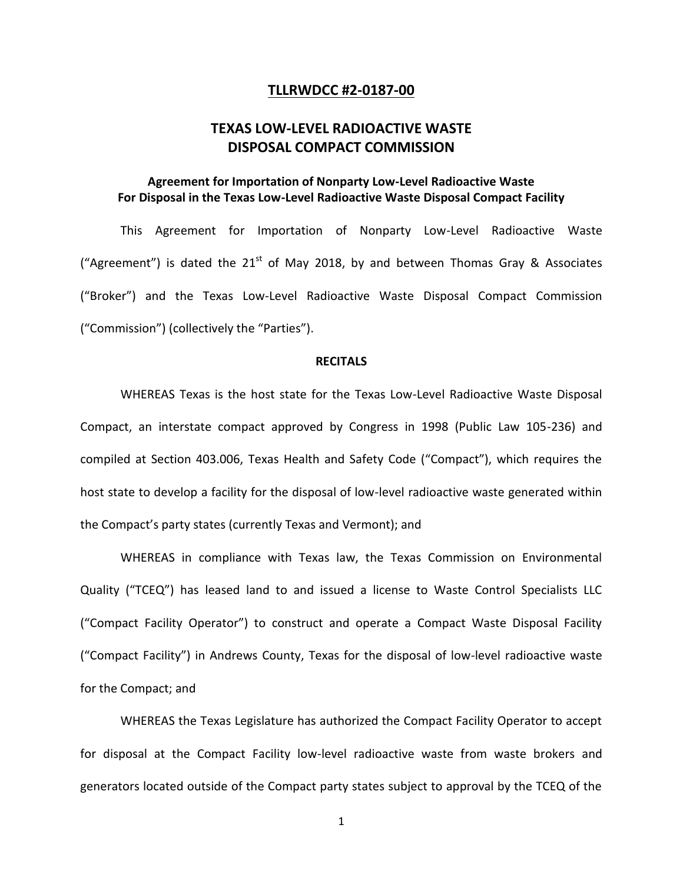#### **TLLRWDCC #2-0187-00**

# **TEXAS LOW-LEVEL RADIOACTIVE WASTE DISPOSAL COMPACT COMMISSION**

## **Agreement for Importation of Nonparty Low-Level Radioactive Waste For Disposal in the Texas Low-Level Radioactive Waste Disposal Compact Facility**

This Agreement for Importation of Nonparty Low-Level Radioactive Waste ("Agreement") is dated the  $21<sup>st</sup>$  of May 2018, by and between Thomas Gray & Associates ("Broker") and the Texas Low-Level Radioactive Waste Disposal Compact Commission ("Commission") (collectively the "Parties").

#### **RECITALS**

WHEREAS Texas is the host state for the Texas Low-Level Radioactive Waste Disposal Compact, an interstate compact approved by Congress in 1998 (Public Law 105-236) and compiled at Section 403.006, Texas Health and Safety Code ("Compact"), which requires the host state to develop a facility for the disposal of low-level radioactive waste generated within the Compact's party states (currently Texas and Vermont); and

WHEREAS in compliance with Texas law, the Texas Commission on Environmental Quality ("TCEQ") has leased land to and issued a license to Waste Control Specialists LLC ("Compact Facility Operator") to construct and operate a Compact Waste Disposal Facility ("Compact Facility") in Andrews County, Texas for the disposal of low-level radioactive waste for the Compact; and

WHEREAS the Texas Legislature has authorized the Compact Facility Operator to accept for disposal at the Compact Facility low-level radioactive waste from waste brokers and generators located outside of the Compact party states subject to approval by the TCEQ of the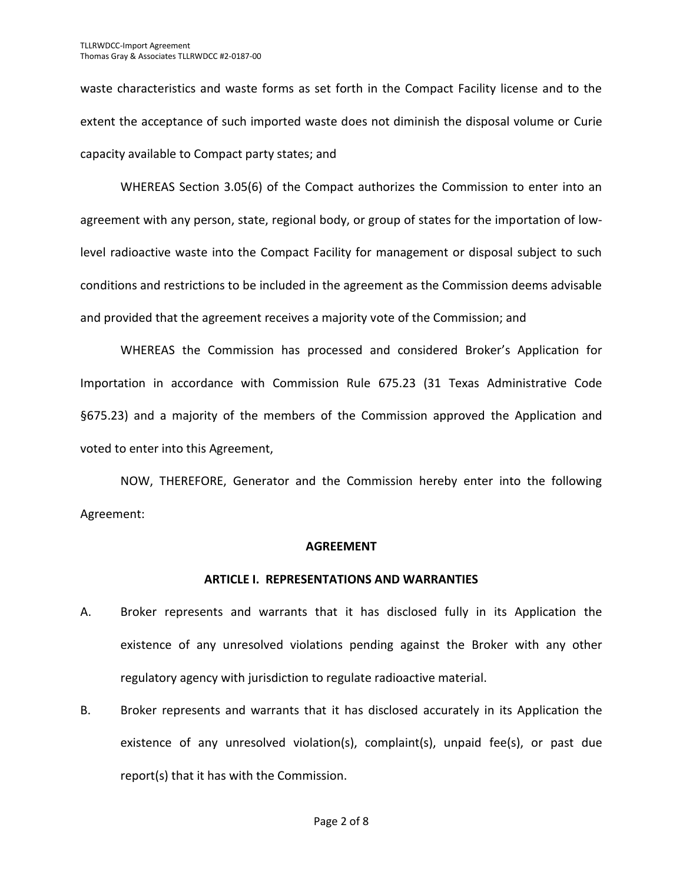waste characteristics and waste forms as set forth in the Compact Facility license and to the extent the acceptance of such imported waste does not diminish the disposal volume or Curie capacity available to Compact party states; and

WHEREAS Section 3.05(6) of the Compact authorizes the Commission to enter into an agreement with any person, state, regional body, or group of states for the importation of lowlevel radioactive waste into the Compact Facility for management or disposal subject to such conditions and restrictions to be included in the agreement as the Commission deems advisable and provided that the agreement receives a majority vote of the Commission; and

WHEREAS the Commission has processed and considered Broker's Application for Importation in accordance with Commission Rule 675.23 (31 Texas Administrative Code §675.23) and a majority of the members of the Commission approved the Application and voted to enter into this Agreement,

NOW, THEREFORE, Generator and the Commission hereby enter into the following Agreement:

### **AGREEMENT**

### **ARTICLE I. REPRESENTATIONS AND WARRANTIES**

- A. Broker represents and warrants that it has disclosed fully in its Application the existence of any unresolved violations pending against the Broker with any other regulatory agency with jurisdiction to regulate radioactive material.
- B. Broker represents and warrants that it has disclosed accurately in its Application the existence of any unresolved violation(s), complaint(s), unpaid fee(s), or past due report(s) that it has with the Commission.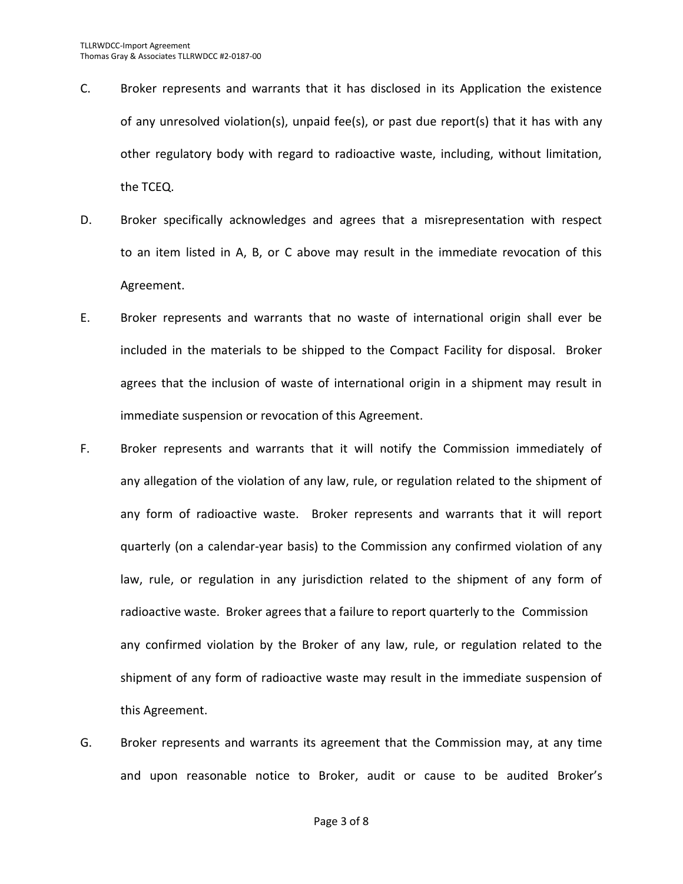- C. Broker represents and warrants that it has disclosed in its Application the existence of any unresolved violation(s), unpaid fee(s), or past due report(s) that it has with any other regulatory body with regard to radioactive waste, including, without limitation, the TCEQ.
- D. Broker specifically acknowledges and agrees that a misrepresentation with respect to an item listed in A, B, or C above may result in the immediate revocation of this Agreement.
- E. Broker represents and warrants that no waste of international origin shall ever be included in the materials to be shipped to the Compact Facility for disposal. Broker agrees that the inclusion of waste of international origin in a shipment may result in immediate suspension or revocation of this Agreement.
- F. Broker represents and warrants that it will notify the Commission immediately of any allegation of the violation of any law, rule, or regulation related to the shipment of any form of radioactive waste. Broker represents and warrants that it will report quarterly (on a calendar-year basis) to the Commission any confirmed violation of any law, rule, or regulation in any jurisdiction related to the shipment of any form of radioactive waste. Broker agrees that a failure to report quarterly to the Commission any confirmed violation by the Broker of any law, rule, or regulation related to the shipment of any form of radioactive waste may result in the immediate suspension of this Agreement.
- G. Broker represents and warrants its agreement that the Commission may, at any time and upon reasonable notice to Broker, audit or cause to be audited Broker's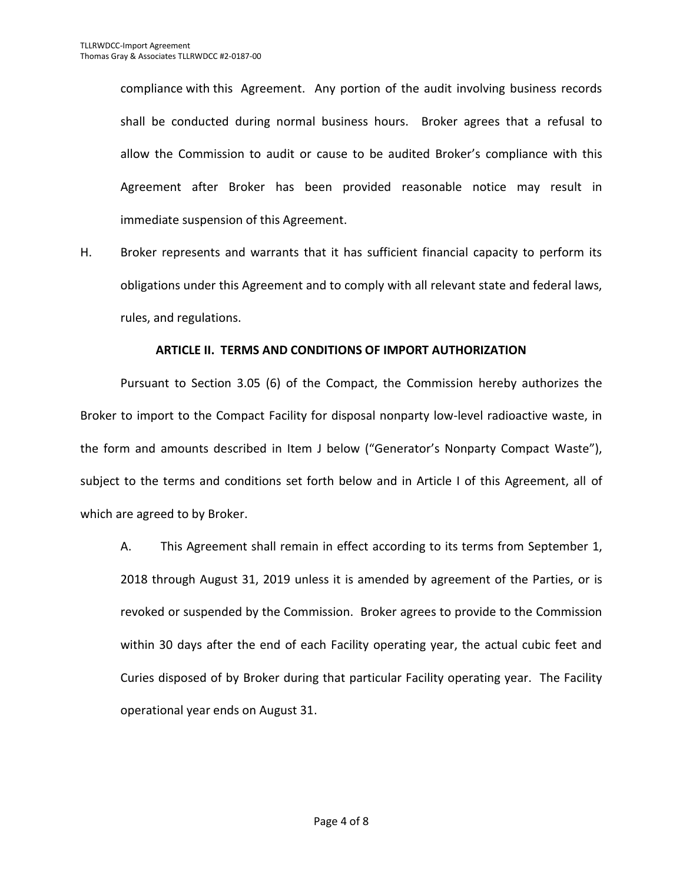compliance with this Agreement. Any portion of the audit involving business records shall be conducted during normal business hours. Broker agrees that a refusal to allow the Commission to audit or cause to be audited Broker's compliance with this Agreement after Broker has been provided reasonable notice may result in immediate suspension of this Agreement.

H. Broker represents and warrants that it has sufficient financial capacity to perform its obligations under this Agreement and to comply with all relevant state and federal laws, rules, and regulations.

# **ARTICLE II. TERMS AND CONDITIONS OF IMPORT AUTHORIZATION**

Pursuant to Section 3.05 (6) of the Compact, the Commission hereby authorizes the Broker to import to the Compact Facility for disposal nonparty low-level radioactive waste, in the form and amounts described in Item J below ("Generator's Nonparty Compact Waste"), subject to the terms and conditions set forth below and in Article I of this Agreement, all of which are agreed to by Broker.

A. This Agreement shall remain in effect according to its terms from September 1, 2018 through August 31, 2019 unless it is amended by agreement of the Parties, or is revoked or suspended by the Commission. Broker agrees to provide to the Commission within 30 days after the end of each Facility operating year, the actual cubic feet and Curies disposed of by Broker during that particular Facility operating year. The Facility operational year ends on August 31.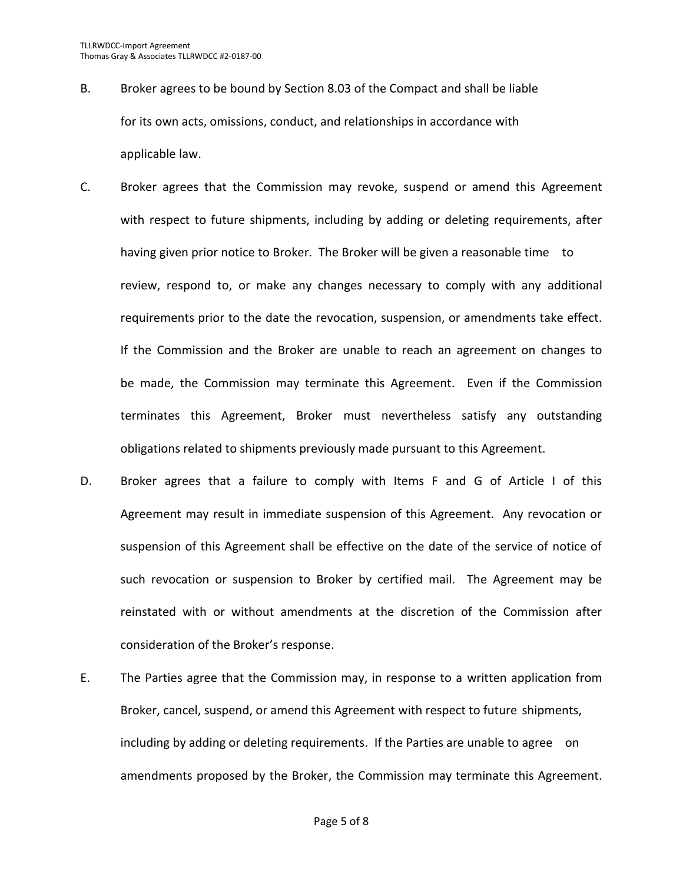- B. Broker agrees to be bound by Section 8.03 of the Compact and shall be liable for its own acts, omissions, conduct, and relationships in accordance with applicable law.
- C. Broker agrees that the Commission may revoke, suspend or amend this Agreement with respect to future shipments, including by adding or deleting requirements, after having given prior notice to Broker. The Broker will be given a reasonable time to review, respond to, or make any changes necessary to comply with any additional requirements prior to the date the revocation, suspension, or amendments take effect. If the Commission and the Broker are unable to reach an agreement on changes to be made, the Commission may terminate this Agreement. Even if the Commission terminates this Agreement, Broker must nevertheless satisfy any outstanding obligations related to shipments previously made pursuant to this Agreement.
- D. Broker agrees that a failure to comply with Items F and G of Article I of this Agreement may result in immediate suspension of this Agreement. Any revocation or suspension of this Agreement shall be effective on the date of the service of notice of such revocation or suspension to Broker by certified mail. The Agreement may be reinstated with or without amendments at the discretion of the Commission after consideration of the Broker's response.
- E. The Parties agree that the Commission may, in response to a written application from Broker, cancel, suspend, or amend this Agreement with respect to future shipments, including by adding or deleting requirements. If the Parties are unable to agree on amendments proposed by the Broker, the Commission may terminate this Agreement.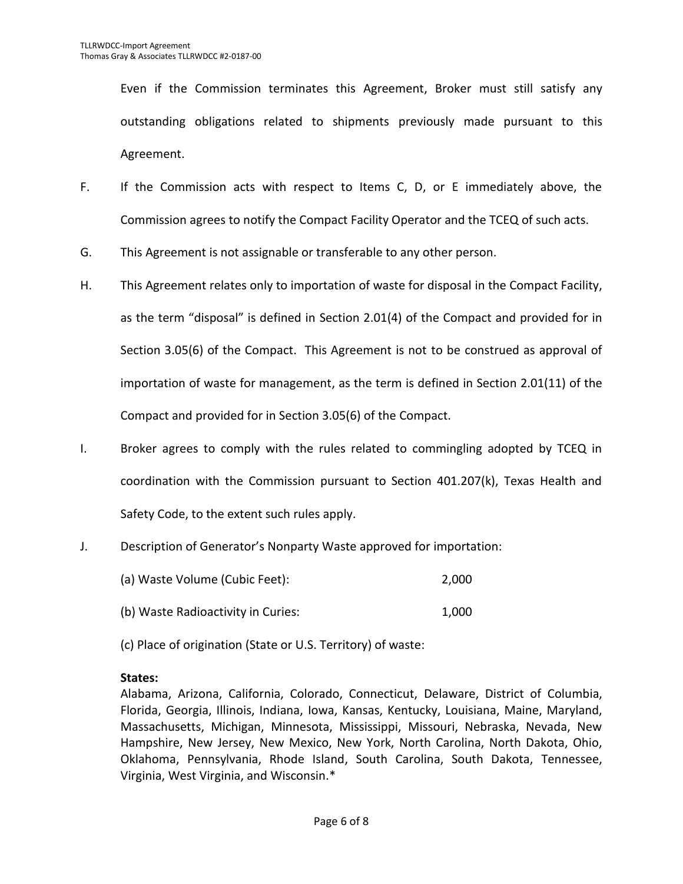Even if the Commission terminates this Agreement, Broker must still satisfy any outstanding obligations related to shipments previously made pursuant to this Agreement.

- F. If the Commission acts with respect to Items C, D, or E immediately above, the Commission agrees to notify the Compact Facility Operator and the TCEQ of such acts.
- G. This Agreement is not assignable or transferable to any other person.
- H. This Agreement relates only to importation of waste for disposal in the Compact Facility, as the term "disposal" is defined in Section 2.01(4) of the Compact and provided for in Section 3.05(6) of the Compact. This Agreement is not to be construed as approval of importation of waste for management, as the term is defined in Section 2.01(11) of the Compact and provided for in Section 3.05(6) of the Compact.
- I. Broker agrees to comply with the rules related to commingling adopted by TCEQ in coordination with the Commission pursuant to Section 401.207(k), Texas Health and Safety Code, to the extent such rules apply.
- J. Description of Generator's Nonparty Waste approved for importation:

| (a) Waste Volume (Cubic Feet):     | 2,000 |
|------------------------------------|-------|
| (b) Waste Radioactivity in Curies: | 1,000 |

(c) Place of origination (State or U.S. Territory) of waste:

# **States:**

Alabama, Arizona, California, Colorado, Connecticut, Delaware, District of Columbia, Florida, Georgia, Illinois, Indiana, Iowa, Kansas, Kentucky, Louisiana, Maine, Maryland, Massachusetts, Michigan, Minnesota, Mississippi, Missouri, Nebraska, Nevada, New Hampshire, New Jersey, New Mexico, New York, North Carolina, North Dakota, Ohio, Oklahoma, Pennsylvania, Rhode Island, South Carolina, South Dakota, Tennessee, Virginia, West Virginia, and Wisconsin.\*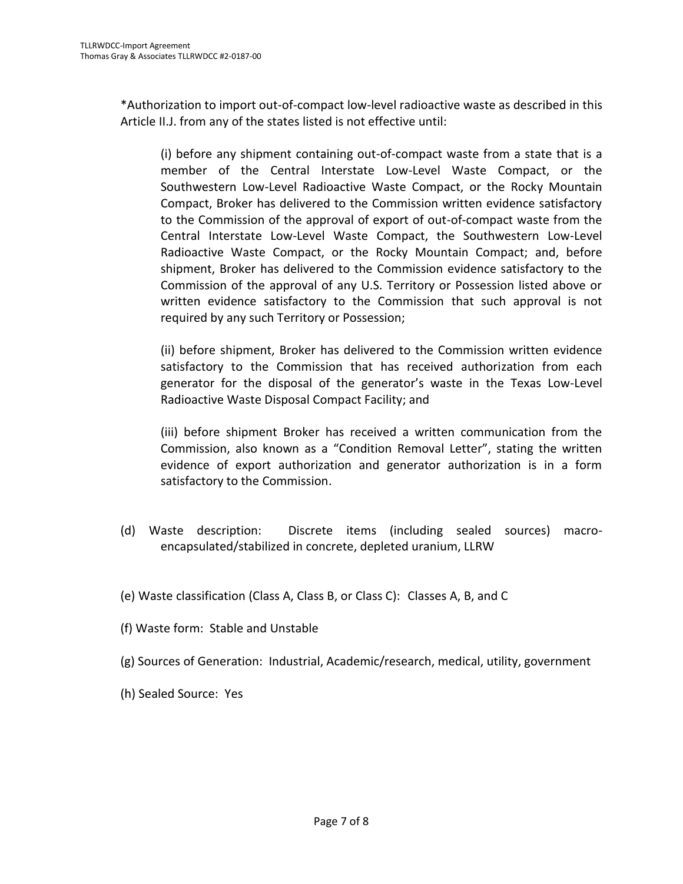\*Authorization to import out-of-compact low-level radioactive waste as described in this Article II.J. from any of the states listed is not effective until:

(i) before any shipment containing out-of-compact waste from a state that is a member of the Central Interstate Low-Level Waste Compact, or the Southwestern Low-Level Radioactive Waste Compact, or the Rocky Mountain Compact, Broker has delivered to the Commission written evidence satisfactory to the Commission of the approval of export of out-of-compact waste from the Central Interstate Low-Level Waste Compact, the Southwestern Low-Level Radioactive Waste Compact, or the Rocky Mountain Compact; and, before shipment, Broker has delivered to the Commission evidence satisfactory to the Commission of the approval of any U.S. Territory or Possession listed above or written evidence satisfactory to the Commission that such approval is not required by any such Territory or Possession;

(ii) before shipment, Broker has delivered to the Commission written evidence satisfactory to the Commission that has received authorization from each generator for the disposal of the generator's waste in the Texas Low-Level Radioactive Waste Disposal Compact Facility; and

(iii) before shipment Broker has received a written communication from the Commission, also known as a "Condition Removal Letter", stating the written evidence of export authorization and generator authorization is in a form satisfactory to the Commission.

- (d) Waste description: Discrete items (including sealed sources) macroencapsulated/stabilized in concrete, depleted uranium, LLRW
- (e) Waste classification (Class A, Class B, or Class C): Classes A, B, and C
- (f) Waste form: Stable and Unstable
- (g) Sources of Generation: Industrial, Academic/research, medical, utility, government
- (h) Sealed Source: Yes